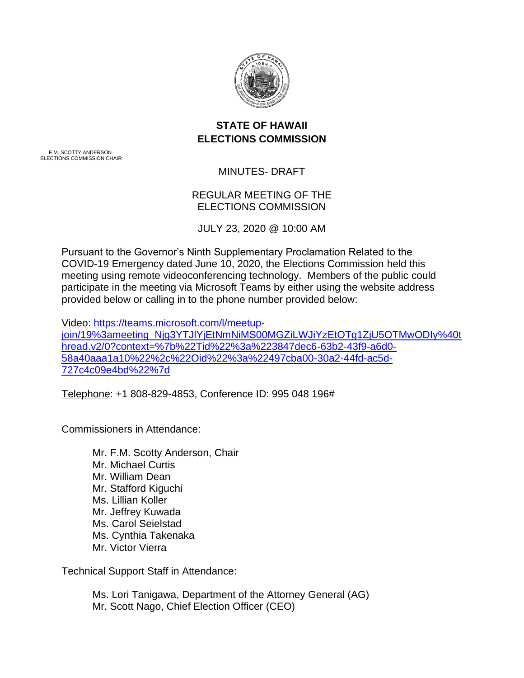

# **STATE OF HAWAII ELECTIONS COMMISSION**

F.M. SCOTTY ANDERSON ELECTIONS COMMISSION CHAIR

MINUTES- DRAFT

# REGULAR MEETING OF THE ELECTIONS COMMISSION

JULY 23, 2020 @ 10:00 AM

Pursuant to the Governor's Ninth Supplementary Proclamation Related to the COVID-19 Emergency dated June 10, 2020, the Elections Commission held this meeting using remote videoconferencing technology. Members of the public could participate in the meeting via Microsoft Teams by either using the website address provided below or calling in to the phone number provided below:

Video: [https://teams.microsoft.com/l/meetup](https://teams.microsoft.com/l/meetup-join/19%3ameeting_Njg3YTJlYjEtNmNiMS00MGZiLWJiYzEtOTg1ZjU5OTMwODIy%40thread.v2/0?context=%7b%22Tid%22%3a%223847dec6-63b2-43f9-a6d0-58a40aaa1a10%22%2c%22Oid%22%3a%22497cba00-30a2-44fd-ac5d-727c4c09e4bd%22%7d)[join/19%3ameeting\\_Njg3YTJlYjEtNmNiMS00MGZiLWJiYzEtOTg1ZjU5OTMwODIy%40t](https://teams.microsoft.com/l/meetup-join/19%3ameeting_Njg3YTJlYjEtNmNiMS00MGZiLWJiYzEtOTg1ZjU5OTMwODIy%40thread.v2/0?context=%7b%22Tid%22%3a%223847dec6-63b2-43f9-a6d0-58a40aaa1a10%22%2c%22Oid%22%3a%22497cba00-30a2-44fd-ac5d-727c4c09e4bd%22%7d) [hread.v2/0?context=%7b%22Tid%22%3a%223847dec6-63b2-43f9-a6d0-](https://teams.microsoft.com/l/meetup-join/19%3ameeting_Njg3YTJlYjEtNmNiMS00MGZiLWJiYzEtOTg1ZjU5OTMwODIy%40thread.v2/0?context=%7b%22Tid%22%3a%223847dec6-63b2-43f9-a6d0-58a40aaa1a10%22%2c%22Oid%22%3a%22497cba00-30a2-44fd-ac5d-727c4c09e4bd%22%7d) [58a40aaa1a10%22%2c%22Oid%22%3a%22497cba00-30a2-44fd-ac5d-](https://teams.microsoft.com/l/meetup-join/19%3ameeting_Njg3YTJlYjEtNmNiMS00MGZiLWJiYzEtOTg1ZjU5OTMwODIy%40thread.v2/0?context=%7b%22Tid%22%3a%223847dec6-63b2-43f9-a6d0-58a40aaa1a10%22%2c%22Oid%22%3a%22497cba00-30a2-44fd-ac5d-727c4c09e4bd%22%7d)[727c4c09e4bd%22%7d](https://teams.microsoft.com/l/meetup-join/19%3ameeting_Njg3YTJlYjEtNmNiMS00MGZiLWJiYzEtOTg1ZjU5OTMwODIy%40thread.v2/0?context=%7b%22Tid%22%3a%223847dec6-63b2-43f9-a6d0-58a40aaa1a10%22%2c%22Oid%22%3a%22497cba00-30a2-44fd-ac5d-727c4c09e4bd%22%7d)

Telephone: +1 808-829-4853, Conference ID: 995 048 196#

Commissioners in Attendance:

Mr. F.M. Scotty Anderson, Chair Mr. Michael Curtis Mr. William Dean Mr. Stafford Kiguchi Ms. Lillian Koller Mr. Jeffrey Kuwada Ms. Carol Seielstad Ms. Cynthia Takenaka Mr. Victor Vierra

Technical Support Staff in Attendance:

Ms. Lori Tanigawa, Department of the Attorney General (AG) Mr. Scott Nago, Chief Election Officer (CEO)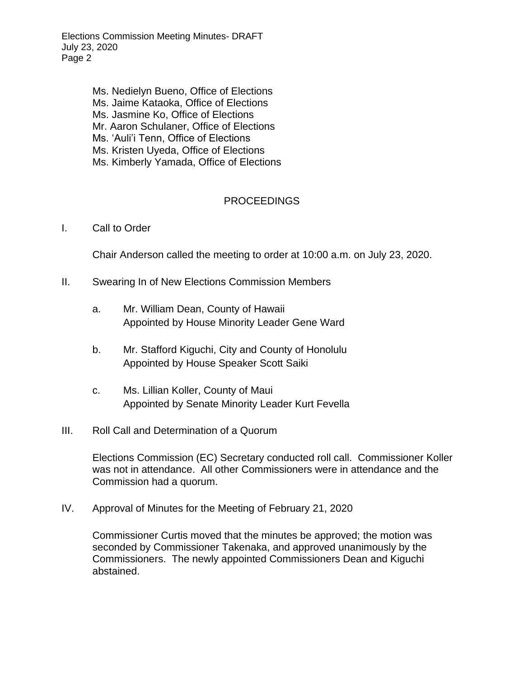Elections Commission Meeting Minutes- DRAFT July 23, 2020 Page 2

> Ms. Nedielyn Bueno, Office of Elections Ms. Jaime Kataoka, Office of Elections Ms. Jasmine Ko, Office of Elections Mr. Aaron Schulaner, Office of Elections Ms. 'Auli'i Tenn, Office of Elections Ms. Kristen Uyeda, Office of Elections Ms. Kimberly Yamada, Office of Elections

## PROCEEDINGS

### I. Call to Order

Chair Anderson called the meeting to order at 10:00 a.m. on July 23, 2020.

- II. Swearing In of New Elections Commission Members
	- a. Mr. William Dean, County of Hawaii Appointed by House Minority Leader Gene Ward
	- b. Mr. Stafford Kiguchi, City and County of Honolulu Appointed by House Speaker Scott Saiki
	- c. Ms. Lillian Koller, County of Maui Appointed by Senate Minority Leader Kurt Fevella

### III. Roll Call and Determination of a Quorum

Elections Commission (EC) Secretary conducted roll call. Commissioner Koller was not in attendance. All other Commissioners were in attendance and the Commission had a quorum.

IV. Approval of Minutes for the Meeting of February 21, 2020

Commissioner Curtis moved that the minutes be approved; the motion was seconded by Commissioner Takenaka, and approved unanimously by the Commissioners. The newly appointed Commissioners Dean and Kiguchi abstained.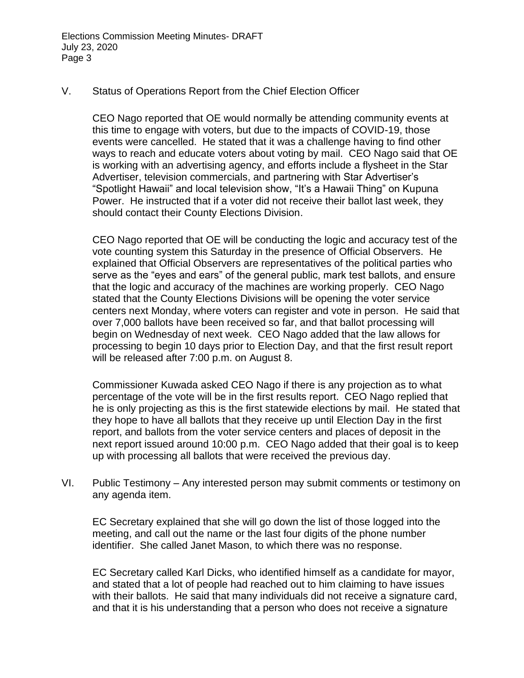Elections Commission Meeting Minutes- DRAFT July 23, 2020 Page 3

### V. Status of Operations Report from the Chief Election Officer

CEO Nago reported that OE would normally be attending community events at this time to engage with voters, but due to the impacts of COVID-19, those events were cancelled. He stated that it was a challenge having to find other ways to reach and educate voters about voting by mail. CEO Nago said that OE is working with an advertising agency, and efforts include a flysheet in the Star Advertiser, television commercials, and partnering with Star Advertiser's "Spotlight Hawaii" and local television show, "It's a Hawaii Thing" on Kupuna Power. He instructed that if a voter did not receive their ballot last week, they should contact their County Elections Division.

CEO Nago reported that OE will be conducting the logic and accuracy test of the vote counting system this Saturday in the presence of Official Observers. He explained that Official Observers are representatives of the political parties who serve as the "eyes and ears" of the general public, mark test ballots, and ensure that the logic and accuracy of the machines are working properly. CEO Nago stated that the County Elections Divisions will be opening the voter service centers next Monday, where voters can register and vote in person. He said that over 7,000 ballots have been received so far, and that ballot processing will begin on Wednesday of next week. CEO Nago added that the law allows for processing to begin 10 days prior to Election Day, and that the first result report will be released after 7:00 p.m. on August 8.

Commissioner Kuwada asked CEO Nago if there is any projection as to what percentage of the vote will be in the first results report. CEO Nago replied that he is only projecting as this is the first statewide elections by mail. He stated that they hope to have all ballots that they receive up until Election Day in the first report, and ballots from the voter service centers and places of deposit in the next report issued around 10:00 p.m. CEO Nago added that their goal is to keep up with processing all ballots that were received the previous day.

VI. Public Testimony – Any interested person may submit comments or testimony on any agenda item.

EC Secretary explained that she will go down the list of those logged into the meeting, and call out the name or the last four digits of the phone number identifier. She called Janet Mason, to which there was no response.

EC Secretary called Karl Dicks, who identified himself as a candidate for mayor, and stated that a lot of people had reached out to him claiming to have issues with their ballots. He said that many individuals did not receive a signature card, and that it is his understanding that a person who does not receive a signature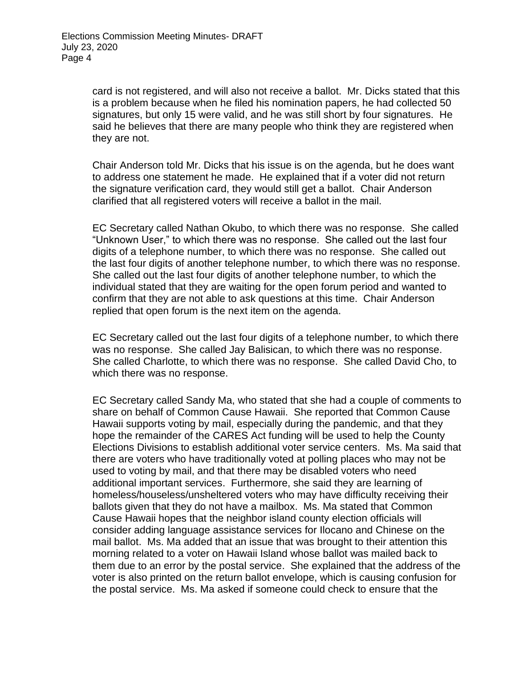card is not registered, and will also not receive a ballot. Mr. Dicks stated that this is a problem because when he filed his nomination papers, he had collected 50 signatures, but only 15 were valid, and he was still short by four signatures. He said he believes that there are many people who think they are registered when they are not.

Chair Anderson told Mr. Dicks that his issue is on the agenda, but he does want to address one statement he made. He explained that if a voter did not return the signature verification card, they would still get a ballot. Chair Anderson clarified that all registered voters will receive a ballot in the mail.

EC Secretary called Nathan Okubo, to which there was no response. She called "Unknown User," to which there was no response. She called out the last four digits of a telephone number, to which there was no response. She called out the last four digits of another telephone number, to which there was no response. She called out the last four digits of another telephone number, to which the individual stated that they are waiting for the open forum period and wanted to confirm that they are not able to ask questions at this time. Chair Anderson replied that open forum is the next item on the agenda.

EC Secretary called out the last four digits of a telephone number, to which there was no response. She called Jay Balisican, to which there was no response. She called Charlotte, to which there was no response. She called David Cho, to which there was no response.

EC Secretary called Sandy Ma, who stated that she had a couple of comments to share on behalf of Common Cause Hawaii. She reported that Common Cause Hawaii supports voting by mail, especially during the pandemic, and that they hope the remainder of the CARES Act funding will be used to help the County Elections Divisions to establish additional voter service centers. Ms. Ma said that there are voters who have traditionally voted at polling places who may not be used to voting by mail, and that there may be disabled voters who need additional important services. Furthermore, she said they are learning of homeless/houseless/unsheltered voters who may have difficulty receiving their ballots given that they do not have a mailbox. Ms. Ma stated that Common Cause Hawaii hopes that the neighbor island county election officials will consider adding language assistance services for Ilocano and Chinese on the mail ballot. Ms. Ma added that an issue that was brought to their attention this morning related to a voter on Hawaii Island whose ballot was mailed back to them due to an error by the postal service. She explained that the address of the voter is also printed on the return ballot envelope, which is causing confusion for the postal service. Ms. Ma asked if someone could check to ensure that the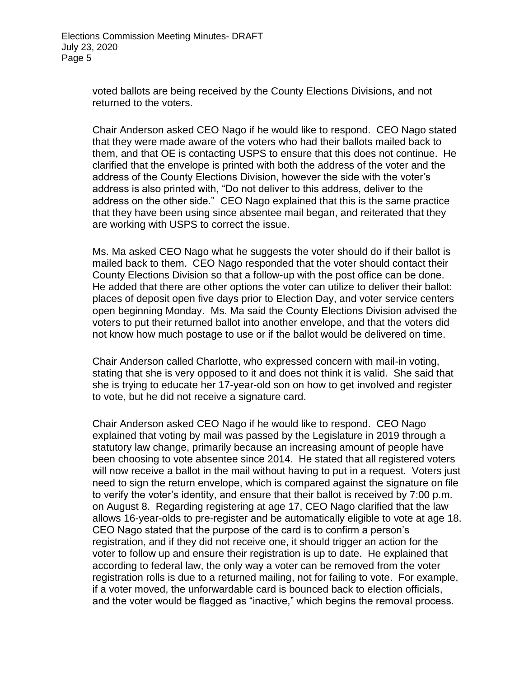voted ballots are being received by the County Elections Divisions, and not returned to the voters.

Chair Anderson asked CEO Nago if he would like to respond. CEO Nago stated that they were made aware of the voters who had their ballots mailed back to them, and that OE is contacting USPS to ensure that this does not continue. He clarified that the envelope is printed with both the address of the voter and the address of the County Elections Division, however the side with the voter's address is also printed with, "Do not deliver to this address, deliver to the address on the other side." CEO Nago explained that this is the same practice that they have been using since absentee mail began, and reiterated that they are working with USPS to correct the issue.

Ms. Ma asked CEO Nago what he suggests the voter should do if their ballot is mailed back to them. CEO Nago responded that the voter should contact their County Elections Division so that a follow-up with the post office can be done. He added that there are other options the voter can utilize to deliver their ballot: places of deposit open five days prior to Election Day, and voter service centers open beginning Monday. Ms. Ma said the County Elections Division advised the voters to put their returned ballot into another envelope, and that the voters did not know how much postage to use or if the ballot would be delivered on time.

Chair Anderson called Charlotte, who expressed concern with mail-in voting, stating that she is very opposed to it and does not think it is valid. She said that she is trying to educate her 17-year-old son on how to get involved and register to vote, but he did not receive a signature card.

Chair Anderson asked CEO Nago if he would like to respond. CEO Nago explained that voting by mail was passed by the Legislature in 2019 through a statutory law change, primarily because an increasing amount of people have been choosing to vote absentee since 2014. He stated that all registered voters will now receive a ballot in the mail without having to put in a request. Voters just need to sign the return envelope, which is compared against the signature on file to verify the voter's identity, and ensure that their ballot is received by 7:00 p.m. on August 8. Regarding registering at age 17, CEO Nago clarified that the law allows 16-year-olds to pre-register and be automatically eligible to vote at age 18. CEO Nago stated that the purpose of the card is to confirm a person's registration, and if they did not receive one, it should trigger an action for the voter to follow up and ensure their registration is up to date. He explained that according to federal law, the only way a voter can be removed from the voter registration rolls is due to a returned mailing, not for failing to vote. For example, if a voter moved, the unforwardable card is bounced back to election officials, and the voter would be flagged as "inactive," which begins the removal process.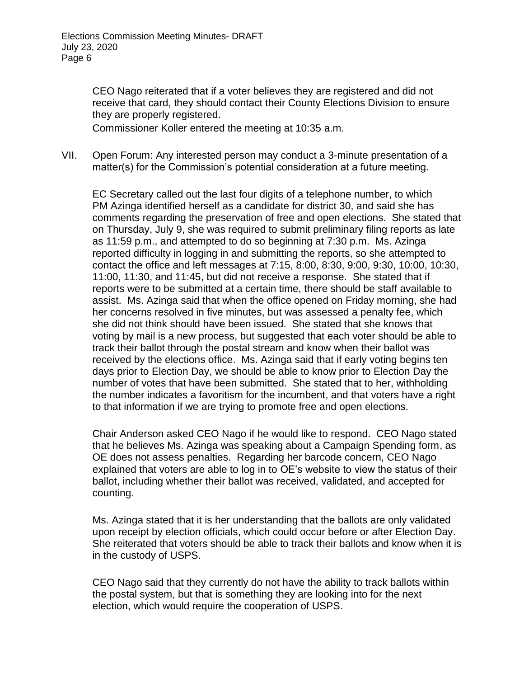CEO Nago reiterated that if a voter believes they are registered and did not receive that card, they should contact their County Elections Division to ensure they are properly registered.

Commissioner Koller entered the meeting at 10:35 a.m.

VII. Open Forum: Any interested person may conduct a 3-minute presentation of a matter(s) for the Commission's potential consideration at a future meeting.

EC Secretary called out the last four digits of a telephone number, to which PM Azinga identified herself as a candidate for district 30, and said she has comments regarding the preservation of free and open elections. She stated that on Thursday, July 9, she was required to submit preliminary filing reports as late as 11:59 p.m., and attempted to do so beginning at 7:30 p.m. Ms. Azinga reported difficulty in logging in and submitting the reports, so she attempted to contact the office and left messages at 7:15, 8:00, 8:30, 9:00, 9:30, 10:00, 10:30, 11:00, 11:30, and 11:45, but did not receive a response. She stated that if reports were to be submitted at a certain time, there should be staff available to assist. Ms. Azinga said that when the office opened on Friday morning, she had her concerns resolved in five minutes, but was assessed a penalty fee, which she did not think should have been issued. She stated that she knows that voting by mail is a new process, but suggested that each voter should be able to track their ballot through the postal stream and know when their ballot was received by the elections office. Ms. Azinga said that if early voting begins ten days prior to Election Day, we should be able to know prior to Election Day the number of votes that have been submitted. She stated that to her, withholding the number indicates a favoritism for the incumbent, and that voters have a right to that information if we are trying to promote free and open elections.

Chair Anderson asked CEO Nago if he would like to respond. CEO Nago stated that he believes Ms. Azinga was speaking about a Campaign Spending form, as OE does not assess penalties. Regarding her barcode concern, CEO Nago explained that voters are able to log in to OE's website to view the status of their ballot, including whether their ballot was received, validated, and accepted for counting.

Ms. Azinga stated that it is her understanding that the ballots are only validated upon receipt by election officials, which could occur before or after Election Day. She reiterated that voters should be able to track their ballots and know when it is in the custody of USPS.

CEO Nago said that they currently do not have the ability to track ballots within the postal system, but that is something they are looking into for the next election, which would require the cooperation of USPS.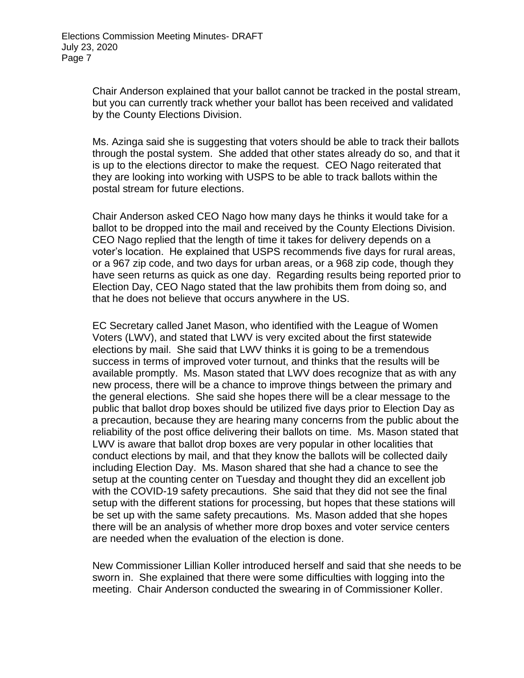Chair Anderson explained that your ballot cannot be tracked in the postal stream, but you can currently track whether your ballot has been received and validated by the County Elections Division.

Ms. Azinga said she is suggesting that voters should be able to track their ballots through the postal system. She added that other states already do so, and that it is up to the elections director to make the request. CEO Nago reiterated that they are looking into working with USPS to be able to track ballots within the postal stream for future elections.

Chair Anderson asked CEO Nago how many days he thinks it would take for a ballot to be dropped into the mail and received by the County Elections Division. CEO Nago replied that the length of time it takes for delivery depends on a voter's location. He explained that USPS recommends five days for rural areas, or a 967 zip code, and two days for urban areas, or a 968 zip code, though they have seen returns as quick as one day. Regarding results being reported prior to Election Day, CEO Nago stated that the law prohibits them from doing so, and that he does not believe that occurs anywhere in the US.

EC Secretary called Janet Mason, who identified with the League of Women Voters (LWV), and stated that LWV is very excited about the first statewide elections by mail. She said that LWV thinks it is going to be a tremendous success in terms of improved voter turnout, and thinks that the results will be available promptly. Ms. Mason stated that LWV does recognize that as with any new process, there will be a chance to improve things between the primary and the general elections. She said she hopes there will be a clear message to the public that ballot drop boxes should be utilized five days prior to Election Day as a precaution, because they are hearing many concerns from the public about the reliability of the post office delivering their ballots on time. Ms. Mason stated that LWV is aware that ballot drop boxes are very popular in other localities that conduct elections by mail, and that they know the ballots will be collected daily including Election Day. Ms. Mason shared that she had a chance to see the setup at the counting center on Tuesday and thought they did an excellent job with the COVID-19 safety precautions. She said that they did not see the final setup with the different stations for processing, but hopes that these stations will be set up with the same safety precautions. Ms. Mason added that she hopes there will be an analysis of whether more drop boxes and voter service centers are needed when the evaluation of the election is done.

New Commissioner Lillian Koller introduced herself and said that she needs to be sworn in. She explained that there were some difficulties with logging into the meeting. Chair Anderson conducted the swearing in of Commissioner Koller.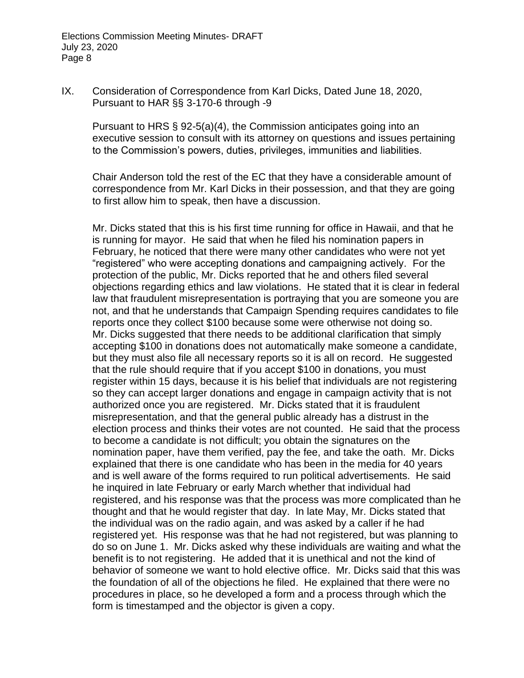IX. Consideration of Correspondence from Karl Dicks, Dated June 18, 2020, Pursuant to HAR §§ 3-170-6 through -9

Pursuant to HRS § 92-5(a)(4), the Commission anticipates going into an executive session to consult with its attorney on questions and issues pertaining to the Commission's powers, duties, privileges, immunities and liabilities.

Chair Anderson told the rest of the EC that they have a considerable amount of correspondence from Mr. Karl Dicks in their possession, and that they are going to first allow him to speak, then have a discussion.

Mr. Dicks stated that this is his first time running for office in Hawaii, and that he is running for mayor. He said that when he filed his nomination papers in February, he noticed that there were many other candidates who were not yet "registered" who were accepting donations and campaigning actively. For the protection of the public, Mr. Dicks reported that he and others filed several objections regarding ethics and law violations. He stated that it is clear in federal law that fraudulent misrepresentation is portraying that you are someone you are not, and that he understands that Campaign Spending requires candidates to file reports once they collect \$100 because some were otherwise not doing so. Mr. Dicks suggested that there needs to be additional clarification that simply accepting \$100 in donations does not automatically make someone a candidate, but they must also file all necessary reports so it is all on record. He suggested that the rule should require that if you accept \$100 in donations, you must register within 15 days, because it is his belief that individuals are not registering so they can accept larger donations and engage in campaign activity that is not authorized once you are registered. Mr. Dicks stated that it is fraudulent misrepresentation, and that the general public already has a distrust in the election process and thinks their votes are not counted. He said that the process to become a candidate is not difficult; you obtain the signatures on the nomination paper, have them verified, pay the fee, and take the oath. Mr. Dicks explained that there is one candidate who has been in the media for 40 years and is well aware of the forms required to run political advertisements. He said he inquired in late February or early March whether that individual had registered, and his response was that the process was more complicated than he thought and that he would register that day. In late May, Mr. Dicks stated that the individual was on the radio again, and was asked by a caller if he had registered yet. His response was that he had not registered, but was planning to do so on June 1. Mr. Dicks asked why these individuals are waiting and what the benefit is to not registering. He added that it is unethical and not the kind of behavior of someone we want to hold elective office. Mr. Dicks said that this was the foundation of all of the objections he filed. He explained that there were no procedures in place, so he developed a form and a process through which the form is timestamped and the objector is given a copy.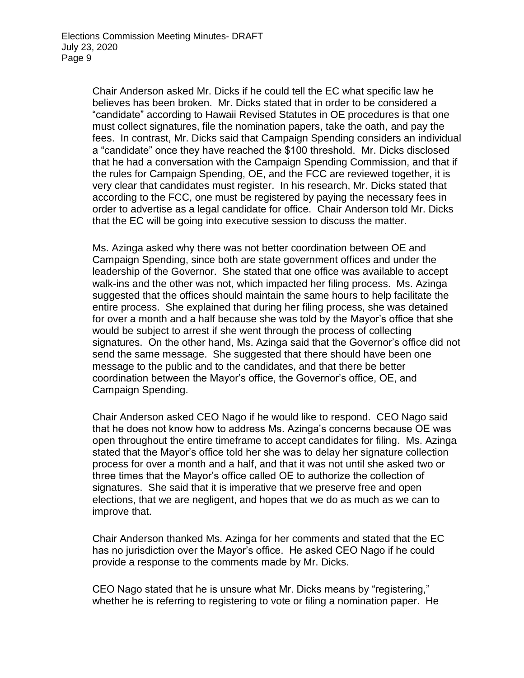Chair Anderson asked Mr. Dicks if he could tell the EC what specific law he believes has been broken. Mr. Dicks stated that in order to be considered a "candidate" according to Hawaii Revised Statutes in OE procedures is that one must collect signatures, file the nomination papers, take the oath, and pay the fees. In contrast, Mr. Dicks said that Campaign Spending considers an individual a "candidate" once they have reached the \$100 threshold. Mr. Dicks disclosed that he had a conversation with the Campaign Spending Commission, and that if the rules for Campaign Spending, OE, and the FCC are reviewed together, it is very clear that candidates must register. In his research, Mr. Dicks stated that according to the FCC, one must be registered by paying the necessary fees in order to advertise as a legal candidate for office. Chair Anderson told Mr. Dicks that the EC will be going into executive session to discuss the matter.

Ms. Azinga asked why there was not better coordination between OE and Campaign Spending, since both are state government offices and under the leadership of the Governor. She stated that one office was available to accept walk-ins and the other was not, which impacted her filing process. Ms. Azinga suggested that the offices should maintain the same hours to help facilitate the entire process. She explained that during her filing process, she was detained for over a month and a half because she was told by the Mayor's office that she would be subject to arrest if she went through the process of collecting signatures. On the other hand, Ms. Azinga said that the Governor's office did not send the same message. She suggested that there should have been one message to the public and to the candidates, and that there be better coordination between the Mayor's office, the Governor's office, OE, and Campaign Spending.

Chair Anderson asked CEO Nago if he would like to respond. CEO Nago said that he does not know how to address Ms. Azinga's concerns because OE was open throughout the entire timeframe to accept candidates for filing. Ms. Azinga stated that the Mayor's office told her she was to delay her signature collection process for over a month and a half, and that it was not until she asked two or three times that the Mayor's office called OE to authorize the collection of signatures. She said that it is imperative that we preserve free and open elections, that we are negligent, and hopes that we do as much as we can to improve that.

Chair Anderson thanked Ms. Azinga for her comments and stated that the EC has no jurisdiction over the Mayor's office. He asked CEO Nago if he could provide a response to the comments made by Mr. Dicks.

CEO Nago stated that he is unsure what Mr. Dicks means by "registering," whether he is referring to registering to vote or filing a nomination paper. He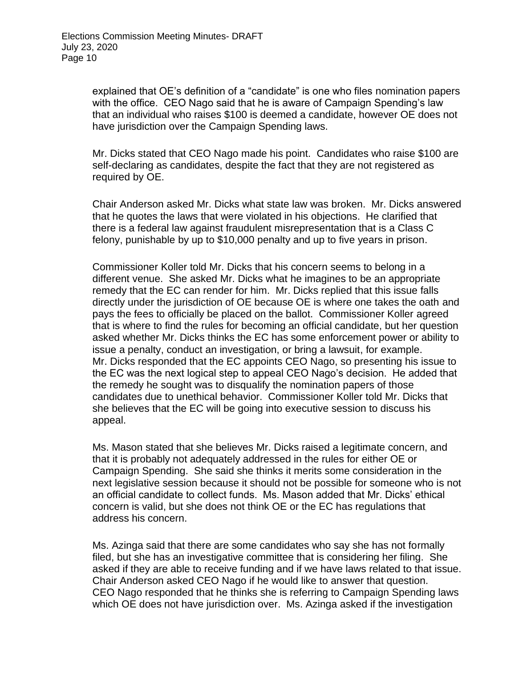explained that OE's definition of a "candidate" is one who files nomination papers with the office. CEO Nago said that he is aware of Campaign Spending's law that an individual who raises \$100 is deemed a candidate, however OE does not have jurisdiction over the Campaign Spending laws.

Mr. Dicks stated that CEO Nago made his point. Candidates who raise \$100 are self-declaring as candidates, despite the fact that they are not registered as required by OE.

Chair Anderson asked Mr. Dicks what state law was broken. Mr. Dicks answered that he quotes the laws that were violated in his objections. He clarified that there is a federal law against fraudulent misrepresentation that is a Class C felony, punishable by up to \$10,000 penalty and up to five years in prison.

Commissioner Koller told Mr. Dicks that his concern seems to belong in a different venue. She asked Mr. Dicks what he imagines to be an appropriate remedy that the EC can render for him. Mr. Dicks replied that this issue falls directly under the jurisdiction of OE because OE is where one takes the oath and pays the fees to officially be placed on the ballot. Commissioner Koller agreed that is where to find the rules for becoming an official candidate, but her question asked whether Mr. Dicks thinks the EC has some enforcement power or ability to issue a penalty, conduct an investigation, or bring a lawsuit, for example. Mr. Dicks responded that the EC appoints CEO Nago, so presenting his issue to the EC was the next logical step to appeal CEO Nago's decision. He added that the remedy he sought was to disqualify the nomination papers of those candidates due to unethical behavior. Commissioner Koller told Mr. Dicks that she believes that the EC will be going into executive session to discuss his appeal.

Ms. Mason stated that she believes Mr. Dicks raised a legitimate concern, and that it is probably not adequately addressed in the rules for either OE or Campaign Spending. She said she thinks it merits some consideration in the next legislative session because it should not be possible for someone who is not an official candidate to collect funds. Ms. Mason added that Mr. Dicks' ethical concern is valid, but she does not think OE or the EC has regulations that address his concern.

Ms. Azinga said that there are some candidates who say she has not formally filed, but she has an investigative committee that is considering her filing. She asked if they are able to receive funding and if we have laws related to that issue. Chair Anderson asked CEO Nago if he would like to answer that question. CEO Nago responded that he thinks she is referring to Campaign Spending laws which OE does not have jurisdiction over. Ms. Azinga asked if the investigation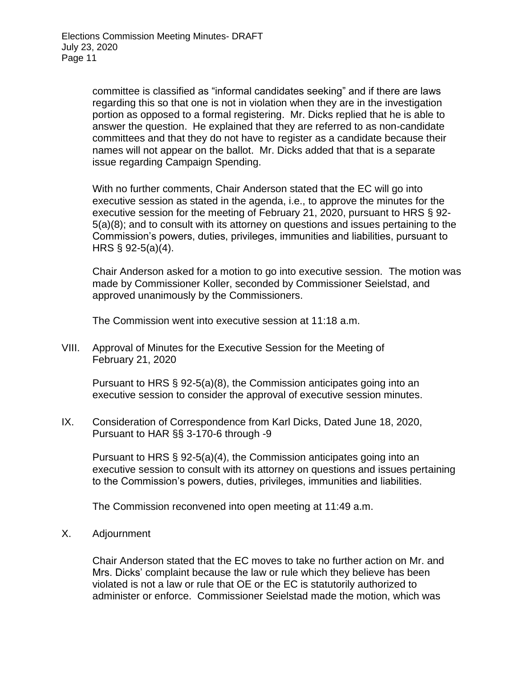committee is classified as "informal candidates seeking" and if there are laws regarding this so that one is not in violation when they are in the investigation portion as opposed to a formal registering. Mr. Dicks replied that he is able to answer the question. He explained that they are referred to as non-candidate committees and that they do not have to register as a candidate because their names will not appear on the ballot. Mr. Dicks added that that is a separate issue regarding Campaign Spending.

With no further comments, Chair Anderson stated that the EC will go into executive session as stated in the agenda, i.e., to approve the minutes for the executive session for the meeting of February 21, 2020, pursuant to HRS § 92- 5(a)(8); and to consult with its attorney on questions and issues pertaining to the Commission's powers, duties, privileges, immunities and liabilities, pursuant to HRS § 92-5(a)(4).

Chair Anderson asked for a motion to go into executive session. The motion was made by Commissioner Koller, seconded by Commissioner Seielstad, and approved unanimously by the Commissioners.

The Commission went into executive session at 11:18 a.m.

VIII. Approval of Minutes for the Executive Session for the Meeting of February 21, 2020

Pursuant to HRS § 92-5(a)(8), the Commission anticipates going into an executive session to consider the approval of executive session minutes.

IX. Consideration of Correspondence from Karl Dicks, Dated June 18, 2020, Pursuant to HAR §§ 3-170-6 through -9

Pursuant to HRS § 92-5(a)(4), the Commission anticipates going into an executive session to consult with its attorney on questions and issues pertaining to the Commission's powers, duties, privileges, immunities and liabilities.

The Commission reconvened into open meeting at 11:49 a.m.

X. Adjournment

Chair Anderson stated that the EC moves to take no further action on Mr. and Mrs. Dicks' complaint because the law or rule which they believe has been violated is not a law or rule that OE or the EC is statutorily authorized to administer or enforce. Commissioner Seielstad made the motion, which was